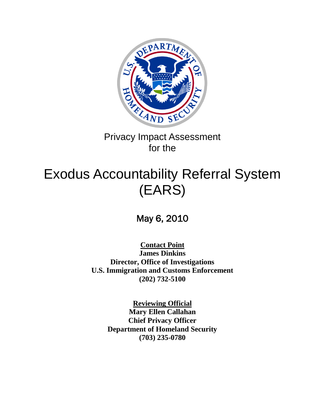

# Privacy Impact Assessment for the

# Exodus Accountability Referral System (EARS)

# May 6, 2010

**Contact Point James Dinkins Director, Office of Investigations U.S. Immigration and Customs Enforcement (202) 732-5100**

> **Reviewing Official Mary Ellen Callahan Chief Privacy Officer Department of Homeland Security (703) 235-0780**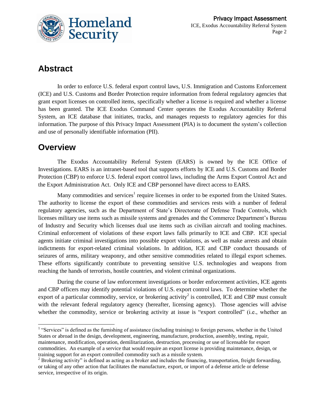

## **Abstract**

In order to enforce U.S. federal export control laws, U.S. Immigration and Customs Enforcement (ICE) and U.S. Customs and Border Protection require information from federal regulatory agencies that grant export licenses on controlled items, specifically whether a license is required and whether a license has been granted. The ICE Exodus Command Center operates the Exodus Accountability Referral System, an ICE database that initiates, tracks, and manages requests to regulatory agencies for this information. The purpose of this Privacy Impact Assessment (PIA) is to document the system's collection and use of personally identifiable information (PII).

#### **Overview**

The Exodus Accountability Referral System (EARS) is owned by the ICE Office of Investigations. EARS is an intranet-based tool that supports efforts by ICE and U.S. Customs and Border Protection (CBP) to enforce U.S. federal export control laws, including the Arms Export Control Act and the Export Administration Act. Only ICE and CBP personnel have direct access to EARS.

Many commodities and services<sup>1</sup> require licenses in order to be exported from the United States. The authority to license the export of these commodities and services rests with a number of federal regulatory agencies, such as the Department of State's Directorate of Defense Trade Controls, which licenses military use items such as missile systems and grenades and the Commerce Department's Bureau of Industry and Security which licenses dual use items such as civilian aircraft and tooling machines. Criminal enforcement of violations of these export laws falls primarily to ICE and CBP. ICE special agents initiate criminal investigations into possible export violations, as well as make arrests and obtain indictments for export-related criminal violations. In addition, ICE and CBP conduct thousands of seizures of arms, military weaponry, and other sensitive commodities related to illegal export schemes. These efforts significantly contribute to preventing sensitive U.S. technologies and weapons from reaching the hands of terrorists, hostile countries, and violent criminal organizations.

During the course of law enforcement investigations or border enforcement activities, ICE agents and CBP officers may identify potential violations of U.S. export control laws. To determine whether the export of a particular commodity, service, or brokering activity<sup>2</sup> is controlled, ICE and CBP must consult with the relevant federal regulatory agency (hereafter, licensing agency). Those agencies will advise whether the commodity, service or brokering activity at issue is "export controlled" (i.e., whether an

<sup>&</sup>lt;sup>1</sup> "Services" is defined as the furnishing of assistance (including training) to foreign persons, whether in the United States or abroad in the design, development, engineering, manufacture, production, assembly, testing, repair, maintenance, modification, operation, demilitarization, destruction, processing or use of licensable for export commodities. An example of a service that would require an export license is providing maintenance, design, or training support for an export controlled commodity such as a missile system.

<sup>&</sup>lt;sup>2</sup> Brokering activity" is defined as acting as a broker and includes the financing, transportation, freight forwarding, or taking of any other action that facilitates the manufacture, export, or import of a defense article or defense service, irrespective of its origin.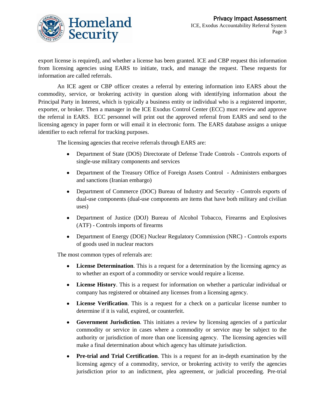

export license is required), and whether a license has been granted. ICE and CBP request this information from licensing agencies using EARS to initiate, track, and manage the request. These requests for information are called referrals.

An ICE agent or CBP officer creates a referral by entering information into EARS about the commodity, service, or brokering activity in question along with identifying information about the Principal Party in Interest, which is typically a business entity or individual who is a registered importer, exporter, or broker. Then a manager in the ICE Exodus Control Center (ECC) must review and approve the referral in EARS. ECC personnel will print out the approved referral from EARS and send to the licensing agency in paper form or will email it in electronic form. The EARS database assigns a unique identifier to each referral for tracking purposes.

The licensing agencies that receive referrals through EARS are:

- $\bullet$ Department of State (DOS) Directorate of Defense Trade Controls - Controls exports of single-use military components and services
- Department of the Treasury Office of Foreign Assets Control Administers embargoes and sanctions (Iranian embargo)
- $\bullet$ Department of Commerce (DOC) Bureau of Industry and Security - Controls exports of dual-use components (dual-use components are items that have both military and civilian uses)
- Department of Justice (DOJ) Bureau of Alcohol Tobacco, Firearms and Explosives (ATF) - Controls imports of firearms
- Department of Energy (DOE) Nuclear Regulatory Commission (NRC) Controls exports of goods used in nuclear reactors

The most common types of referrals are:

- $\bullet$ **License Determination**. This is a request for a determination by the licensing agency as to whether an export of a commodity or service would require a license.
- **License History**. This is a request for information on whether a particular individual or  $\bullet$ company has registered or obtained any licenses from a licensing agency.
- **License Verification**. This is a request for a check on a particular license number to determine if it is valid, expired, or counterfeit.
- **Government Jurisdiction**. This initiates a review by licensing agencies of a particular  $\bullet$ commodity or service in cases where a commodity or service may be subject to the authority or jurisdiction of more than one licensing agency. The licensing agencies will make a final determination about which agency has ultimate jurisdiction.
- **Pre-trial and Trial Certification**. This is a request for an in-depth examination by the  $\bullet$ licensing agency of a commodity, service, or brokering activity to verify the agencies jurisdiction prior to an indictment, plea agreement, or judicial proceeding. Pre-trial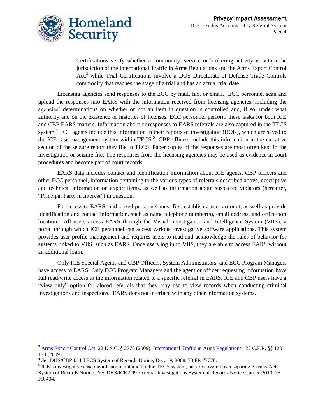

Certifications verify whether a commodity, service or brokering activity is within the jurisdiction of the International Traffic in Arms Regulations and the Arms Export Control Act,<sup>3</sup> while Trial Certifications involve a DOS Directorate of Defense Trade Controls commodity that reaches the stage of a trial and has an actual trial date.

Licensing agencies send responses to the ECC by mail, fax, or email. ECC personnel scan and upload the responses into EARS with the information received from licensing agencies, including the agencies' determinations on whether or not an item in question is controlled and, if so, under what authority and on the existence or histories of licenses. ECC personnel perform these tasks for both ICE and CBP EARS matters. Information about or responses to EARS referrals are also captured in the TECS system.<sup>4</sup> ICE agents include this information in their reports of investigation (ROIs), which are saved to the ICE case management system within  $TECS$ <sup>5</sup> CBP officers include this information in the narrative section of the seizure report they file in TECS. Paper copies of the responses are most often kept in the investigation or seizure file. The responses from the licensing agencies may be used as evidence in court procedures and become part of court records.

EARS data includes contact and identification information about ICE agents, CBP officers and other ECC personnel, information pertaining to the various types of referrals described above, descriptive and technical information on export items, as well as information about suspected violators (hereafter, "Principal Party in Interest") in question.

For access to EARS, authorized personnel must first establish a user account, as well as provide identification and contact information, such as name telephone number(s), email address, and office/port location. All users access EARS through the Visual Investigation and Intelligence System (VIIS), a portal through which ICE personnel can access various investigative software applications. This system provides user profile management and requires users to read and acknowledge the rules of behavior for systems linked to VIIS, such as EARS. Once users log in to VIIS, they are able to access EARS without an additional login.

Only ICE Special Agents and CBP Officers, System Administrators, and ECC Program Managers have access to EARS. Only ECC Program Managers and the agent or officer requesting information have full read/write access to the information related to a specific referral in EARS. ICE and CBP users have a "view only" option for closed referrals that they may use to view records when conducting criminal investigations and inspections. EARS does not interface with any other information systems.

 $\overline{a}$ 

 $3$  [Arms Export Control Act,](http://www.pmddtc.state.gov/regulations_laws/aeca.html) 22 U.S.C. § 2778 (2009)[; International Traffic in Arms Regulations,](http://www.pmddtc.state.gov/regulations_laws/itar_official.html) 22 C.F.R. §§ 120 – 130 (2009).

<sup>4</sup> *See* DHS/CBP-011 TECS System of Records Notice, Dec. 19, 2008, 73 FR 77778.

<sup>&</sup>lt;sup>5</sup> ICE's investigative case records are maintained in the TECS system, but are covered by a separate Privacy Act System of Records Notice. *See* DHS/ICE-009 External Investigations System of Records Notice, Jan. 5, 2010, 75 FR 404.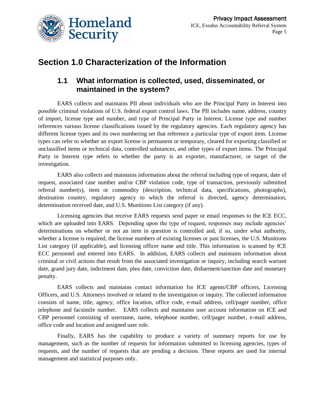

## **Section 1.0 Characterization of the Information**

#### **1.1 What information is collected, used, disseminated, or maintained in the system?**

EARS collects and maintains PII about individuals who are the Principal Party in Interest into possible criminal violations of U.S. federal export control laws. The PII includes name, address, country of import, license type and number, and type of Principal Party in Interest. License type and number references various license classifications issued by the regulatory agencies. Each regulatory agency has different license types and its own numbering set that reference a particular type of export item. License types can refer to whether an export license is permanent or temporary, cleared for exporting classified or unclassified items or technical data, controlled substances, and other types of export items. The Principal Party in Interest type refers to whether the party is an exporter, manufacturer, or target of the investigation.

EARS also collects and maintains information about the referral including type of request, date of request, associated case number and/or CBP violation code, type of transaction, previously submitted referral number(s), item or commodity (description, technical data, specifications, photographs), destination country, regulatory agency to which the referral is directed, agency determination, determination received date, and U.S. Munitions List category (if any).

Licensing agencies that receive EARS requests send paper or email responses to the ICE ECC, which are uploaded into EARS. Depending upon the type of request, responses may include agencies' determinations on whether or not an item in question is controlled and, if so, under what authority, whether a license is required, the license numbers of existing licenses or past licenses, the U.S. Munitions List category (if applicable), and licensing officer name and title. This information is scanned by ICE ECC personnel and entered into EARS. In addition, EARS collects and maintains information about criminal or civil actions that result from the associated investigation or inquiry, including search warrant date, grand jury date, indictment date, plea date, conviction date, disbarment/sanction date and monetary penalty.

EARS collects and maintains contact information for ICE agents/CBP officers, Licensing Officers, and U.S. Attorneys involved or related to the investigation or inquiry. The collected information consists of name, title, agency, office location, office code, e-mail address, cell/pager number, office telephone and facsimile number. EARS collects and maintains user account information on ICE and CBP personnel consisting of username, name, telephone number, cell/pager number, e-mail address, office code and location and assigned user role.

Finally, EARS has the capability to produce a variety of summary reports for use by management, such as the number of requests for information submitted to licensing agencies, types of requests, and the number of requests that are pending a decision. These reports are used for internal management and statistical purposes only.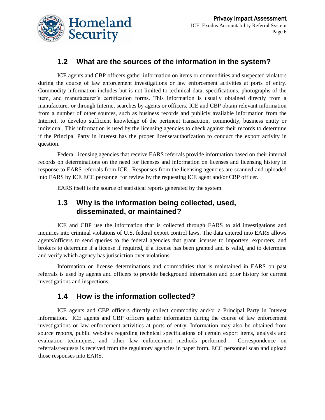

#### **1.2 What are the sources of the information in the system?**

ICE agents and CBP officers gather information on items or commodities and suspected violators during the course of law enforcement investigations or law enforcement activities at ports of entry. Commodity information includes but is not limited to technical data, specifications, photographs of the item, and manufacturer's certification forms. This information is usually obtained directly from a manufacturer or through Internet searches by agents or officers. ICE and CBP obtain relevant information from a number of other sources, such as business records and publicly available information from the Internet, to develop sufficient knowledge of the pertinent transaction, commodity, business entity or individual. This information is used by the licensing agencies to check against their records to determine if the Principal Party in Interest has the proper license/authorization to conduct the export activity in question.

Federal licensing agencies that receive EARS referrals provide information based on their internal records on determinations on the need for licenses and information on licenses and licensing history in response to EARS referrals from ICE. Responses from the licensing agencies are scanned and uploaded into EARS by ICE ECC personnel for review by the requesting ICE agent and/or CBP officer.

EARS itself is the source of statistical reports generated by the system.

#### **1.3 Why is the information being collected, used, disseminated, or maintained?**

ICE and CBP use the information that is collected through EARS to aid investigations and inquiries into criminal violations of U.S. federal export control laws. The data entered into EARS allows agents/officers to send queries to the federal agencies that grant licenses to importers, exporters, and brokers to determine if a license if required, if a license has been granted and is valid, and to determine and verify which agency has jurisdiction over violations.

Information on license determinations and commodities that is maintained in EARS on past referrals is used by agents and officers to provide background information and prior history for current investigations and inspections.

#### **1.4 How is the information collected?**

ICE agents and CBP officers directly collect commodity and/or a Principal Party in Interest information. ICE agents and CBP officers gather information during the course of law enforcement investigations or law enforcement activities at ports of entry. Information may also be obtained from source reports, public websites regarding technical specifications of certain export items, analysis and evaluation techniques, and other law enforcement methods performed. Correspondence on referrals/requests is received from the regulatory agencies in paper form. ECC personnel scan and upload those responses into EARS.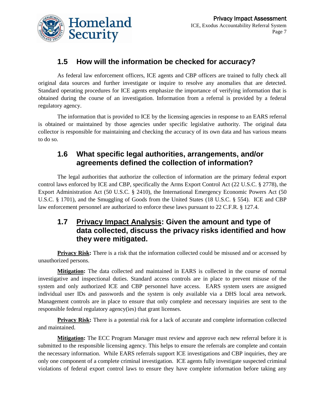

#### **1.5 How will the information be checked for accuracy?**

As federal law enforcement officers, ICE agents and CBP officers are trained to fully check all original data sources and further investigate or inquire to resolve any anomalies that are detected. Standard operating procedures for ICE agents emphasize the importance of verifying information that is obtained during the course of an investigation. Information from a referral is provided by a federal regulatory agency.

The information that is provided to ICE by the licensing agencies in response to an EARS referral is obtained or maintained by those agencies under specific legislative authority. The original data collector is responsible for maintaining and checking the accuracy of its own data and has various means to do so.

#### **1.6 What specific legal authorities, arrangements, and/or agreements defined the collection of information?**

The legal authorities that authorize the collection of information are the primary federal export control laws enforced by ICE and CBP, specifically the Arms Export Control Act (22 U.S.C. § 2778), the Export Administration Act (50 U.S.C. § 2410), the International Emergency Economic Powers Act (50 U.S.C. § 1701), and the Smuggling of Goods from the United States (18 U.S.C. § 554). ICE and CBP law enforcement personnel are authorized to enforce these laws pursuant to 22 C.F.R. § 127.4.

#### **1.7 Privacy Impact Analysis: Given the amount and type of data collected, discuss the privacy risks identified and how they were mitigated.**

**Privacy Risk:** There is a risk that the information collected could be misused and or accessed by unauthorized persons.

**Mitigation:** The data collected and maintained in EARS is collected in the course of normal investigative and inspectional duties. Standard access controls are in place to prevent misuse of the system and only authorized ICE and CBP personnel have access. EARS system users are assigned individual user IDs and passwords and the system is only available via a DHS local area network. Management controls are in place to ensure that only complete and necessary inquiries are sent to the responsible federal regulatory agency(ies) that grant licenses.

**Privacy Risk:** There is a potential risk for a lack of accurate and complete information collected and maintained.

**Mitigation:** The ECC Program Manager must review and approve each new referral before it is submitted to the responsible licensing agency. This helps to ensure the referrals are complete and contain the necessary information. While EARS referrals support ICE investigations and CBP inquiries, they are only one component of a complete criminal investigation. ICE agents fully investigate suspected criminal violations of federal export control laws to ensure they have complete information before taking any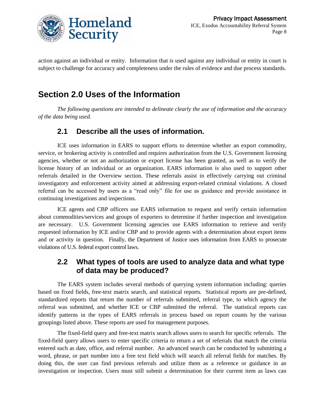

action against an individual or entity. Information that is used against any individual or entity in court is subject to challenge for accuracy and completeness under the rules of evidence and due process standards.

## **Section 2.0 Uses of the Information**

*The following questions are intended to delineate clearly the use of information and the accuracy of the data being used.* 

#### **2.1 Describe all the uses of information.**

ICE uses information in EARS to support efforts to determine whether an export commodity, service, or brokering activity is controlled and requires authorization from the U.S. Government licensing agencies, whether or not an authorization or export license has been granted, as well as to verify the license history of an individual or an organization. EARS information is also used to support other referrals detailed in the Overview section. These referrals assist in effectively carrying out criminal investigatory and enforcement activity aimed at addressing export-related criminal violations. A closed referral can be accessed by users as a "read only" file for use as guidance and provide assistance in continuing investigations and inspections.

ICE agents and CBP officers use EARS information to request and verify certain information about commodities/services and groups of exporters to determine if further inspection and investigation are necessary. U.S. Government licensing agencies use EARS information to retrieve and verify requested information by ICE and/or CBP and to provide agents with a determination about export items and or activity in question. Finally, the Department of Justice uses information from EARS to prosecute violations of U.S. federal export control laws.

#### **2.2 What types of tools are used to analyze data and what type of data may be produced?**

The EARS system includes several methods of querying system information including: queries based on fixed fields, free-text matrix search, and statistical reports. Statistical reports are pre-defined, standardized reports that return the number of referrals submitted, referral type, to which agency the referral was submitted, and whether ICE or CBP submitted the referral. The statistical reports can identify patterns in the types of EARS referrals in process based on report counts by the various groupings listed above. These reports are used for management purposes.

The fixed-field query and free-text matrix search allows users to search for specific referrals. The fixed-field query allows users to enter specific criteria to return a set of referrals that match the criteria entered such as date, office, and referral number. An advanced search can be conducted by submitting a word, phrase, or part number into a free text field which will search all referral fields for matches. By doing this, the user can find previous referrals and utilize them as a reference or guidance in an investigation or inspection. Users must still submit a determination for their current item as laws can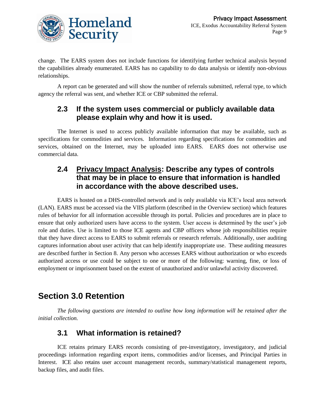

change. The EARS system does not include functions for identifying further technical analysis beyond the capabilities already enumerated. EARS has no capability to do data analysis or identify non-obvious relationships.

A report can be generated and will show the number of referrals submitted, referral type, to which agency the referral was sent, and whether ICE or CBP submitted the referral.

#### **2.3 If the system uses commercial or publicly available data please explain why and how it is used.**

The Internet is used to access publicly available information that may be available, such as specifications for commodities and services. Information regarding specifications for commodities and services, obtained on the Internet, may be uploaded into EARS. EARS does not otherwise use commercial data.

#### **2.4 Privacy Impact Analysis: Describe any types of controls that may be in place to ensure that information is handled in accordance with the above described uses.**

EARS is hosted on a DHS-controlled network and is only available via ICE's local area network (LAN). EARS must be accessed via the VIIS platform (described in the Overview section) which features rules of behavior for all information accessible through its portal. Policies and procedures are in place to ensure that only authorized users have access to the system. User access is determined by the user's job role and duties. Use is limited to those ICE agents and CBP officers whose job responsibilities require that they have direct access to EARS to submit referrals or research referrals. Additionally, user auditing captures information about user activity that can help identify inappropriate use. These auditing measures are described further in Section 8. Any person who accesses EARS without authorization or who exceeds authorized access or use could be subject to one or more of the following: warning, fine, or loss of employment or imprisonment based on the extent of unauthorized and/or unlawful activity discovered.

# **Section 3.0 Retention**

*The following questions are intended to outline how long information will be retained after the initial collection.*

#### **3.1 What information is retained?**

ICE retains primary EARS records consisting of pre-investigatory, investigatory, and judicial proceedings information regarding export items, commodities and/or licenses, and Principal Parties in Interest. ICE also retains user account management records, summary/statistical management reports, backup files, and audit files.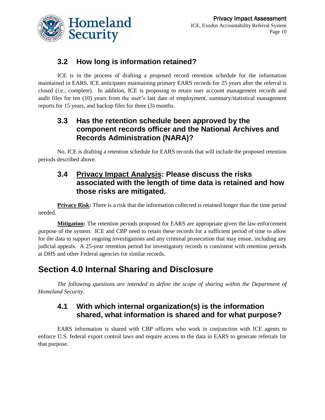

#### **3.2 How long is information retained?**

ICE is in the process of drafting a proposed record retention schedule for the information maintained in EARS. ICE anticipates maintaining primary EARS records for 25 years after the referral is closed (i.e., complete). In addition, ICE is proposing to retain user account management records and audit files for ten (10) years from the user's last date of employment, summary/statistical management reports for 15 years, and backup files for three (3) months.

#### **3.3 Has the retention schedule been approved by the component records officer and the National Archives and Records Administration (NARA)?**

No. ICE is drafting a retention schedule for EARS records that will include the proposed retention periods described above.

#### **3.4 Privacy Impact Analysis: Please discuss the risks associated with the length of time data is retained and how those risks are mitigated.**

**Privacy Risk:** There is a risk that the information collected is retained longer than the time period needed.

**Mitigation:** The retention periods proposed for EARS are appropriate given the law enforcement purpose of the system. ICE and CBP need to retain these records for a sufficient period of time to allow for the data to support ongoing investigations and any criminal prosecution that may ensue, including any judicial appeals. A 25-year retention period for investigatory records is consistent with retention periods at DHS and other Federal agencies for similar records.

## **Section 4.0 Internal Sharing and Disclosure**

*The following questions are intended to define the scope of sharing within the Department of Homeland Security.*

#### **4.1 With which internal organization(s) is the information shared, what information is shared and for what purpose?**

EARS information is shared with CBP officers who work in conjunction with ICE agents to enforce U.S. federal export control laws and require access to the data in EARS to generate referrals for that purpose.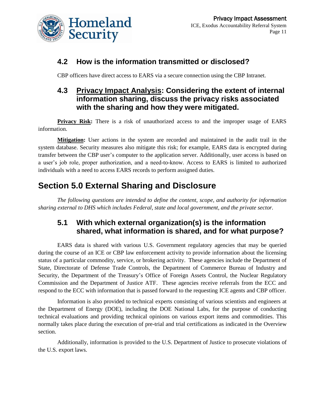

#### **4.2 How is the information transmitted or disclosed?**

CBP officers have direct access to EARS via a secure connection using the CBP Intranet.

#### **4.3 Privacy Impact Analysis: Considering the extent of internal information sharing, discuss the privacy risks associated with the sharing and how they were mitigated.**

**Privacy Risk:** There is a risk of unauthorized access to and the improper usage of EARS information.

**Mitigation:** User actions in the system are recorded and maintained in the audit trail in the system database. Security measures also mitigate this risk; for example, EARS data is encrypted during transfer between the CBP user's computer to the application server. Additionally, user access is based on a user's job role, proper authorization, and a need-to-know. Access to EARS is limited to authorized individuals with a need to access EARS records to perform assigned duties.

## **Section 5.0 External Sharing and Disclosure**

*The following questions are intended to define the content, scope, and authority for information sharing external to DHS which includes Federal, state and local government, and the private sector.*

#### **5.1 With which external organization(s) is the information shared, what information is shared, and for what purpose?**

EARS data is shared with various U.S. Government regulatory agencies that may be queried during the course of an ICE or CBP law enforcement activity to provide information about the licensing status of a particular commodity, service, or brokering activity. These agencies include the Department of State, Directorate of Defense Trade Controls, the Department of Commerce Bureau of Industry and Security, the Department of the Treasury's Office of Foreign Assets Control, the Nuclear Regulatory Commission and the Department of Justice ATF. These agencies receive referrals from the ECC and respond to the ECC with information that is passed forward to the requesting ICE agents and CBP officer.

Information is also provided to technical experts consisting of various scientists and engineers at the Department of Energy (DOE), including the DOE National Labs, for the purpose of conducting technical evaluations and providing technical opinions on various export items and commodities. This normally takes place during the execution of pre-trial and trial certifications as indicated in the Overview section.

Additionally, information is provided to the U.S. Department of Justice to prosecute violations of the U.S. export laws.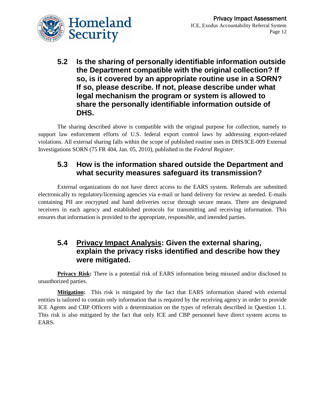

**5.2 Is the sharing of personally identifiable information outside the Department compatible with the original collection? If so, is it covered by an appropriate routine use in a SORN? If so, please describe. If not, please describe under what legal mechanism the program or system is allowed to share the personally identifiable information outside of DHS.**

The sharing described above is compatible with the original purpose for collection, namely to support law enforcement efforts of U.S. federal export control laws by addressing export-related violations. All external sharing falls within the scope of published routine uses in DHS/ICE-009 External Investigations SORN (75 FR 404, Jan. 05, 2010), published in the *Federal Register*.

#### **5.3 How is the information shared outside the Department and what security measures safeguard its transmission?**

External organizations do not have direct access to the EARS system. Referrals are submitted electronically to regulatory/licensing agencies via e-mail or hand delivery for review as needed. E-mails containing PII are encrypted and hand deliveries occur through secure means. There are designated receivers in each agency and established protocols for transmitting and receiving information. This ensures that information is provided to the appropriate, responsible, and intended parties.

#### **5.4 Privacy Impact Analysis: Given the external sharing, explain the privacy risks identified and describe how they were mitigated.**

**Privacy Risk:** There is a potential risk of EARS information being misused and/or disclosed to unauthorized parties.

**Mitigation:** This risk is mitigated by the fact that EARS information shared with external entities is tailored to contain only information that is required by the receiving agency in order to provide ICE Agents and CBP Officers with a determination on the types of referrals described in Question 1.1. This risk is also mitigated by the fact that only ICE and CBP personnel have direct system access to EARS.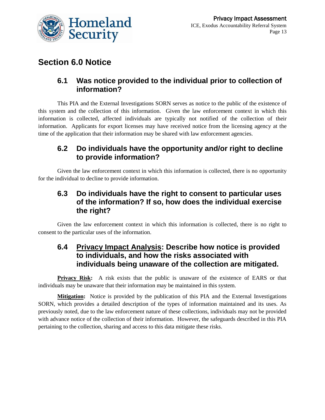

### **Section 6.0 Notice**

#### **6.1 Was notice provided to the individual prior to collection of information?**

This PIA and the External Investigations SORN serves as notice to the public of the existence of this system and the collection of this information. Given the law enforcement context in which this information is collected, affected individuals are typically not notified of the collection of their information. Applicants for export licenses may have received notice from the licensing agency at the time of the application that their information may be shared with law enforcement agencies.

#### **6.2 Do individuals have the opportunity and/or right to decline to provide information?**

Given the law enforcement context in which this information is collected, there is no opportunity for the individual to decline to provide information.

#### **6.3 Do individuals have the right to consent to particular uses of the information? If so, how does the individual exercise the right?**

Given the law enforcement context in which this information is collected, there is no right to consent to the particular uses of the information.

#### **6.4 Privacy Impact Analysis: Describe how notice is provided to individuals, and how the risks associated with individuals being unaware of the collection are mitigated.**

**Privacy Risk:** A risk exists that the public is unaware of the existence of EARS or that individuals may be unaware that their information may be maintained in this system.

**Mitigation:** Notice is provided by the publication of this PIA and the External Investigations SORN, which provides a detailed description of the types of information maintained and its uses. As previously noted, due to the law enforcement nature of these collections, individuals may not be provided with advance notice of the collection of their information. However, the safeguards described in this PIA pertaining to the collection, sharing and access to this data mitigate these risks.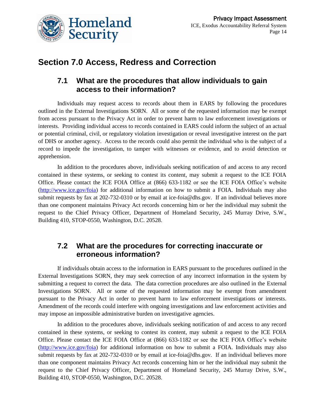

## **Section 7.0 Access, Redress and Correction**

#### **7.1 What are the procedures that allow individuals to gain access to their information?**

Individuals may request access to records about them in EARS by following the procedures outlined in the External Investigations SORN. All or some of the requested information may be exempt from access pursuant to the Privacy Act in order to prevent harm to law enforcement investigations or interests. Providing individual access to records contained in EARS could inform the subject of an actual or potential criminal, civil, or regulatory violation investigation or reveal investigative interest on the part of DHS or another agency. Access to the records could also permit the individual who is the subject of a record to impede the investigation, to tamper with witnesses or evidence, and to avoid detection or apprehension.

In addition to the procedures above, individuals seeking notification of and access to any record contained in these systems, or seeking to contest its content, may submit a request to the ICE FOIA Office. Please contact the ICE FOIA Office at (866) 633-1182 or see the ICE FOIA Office's website [\(http://www.ice.gov/foia\)](http://www.ice.gov/foia) for additional information on how to submit a FOIA. Individuals may also submit requests by fax at 202-732-0310 or by email at ice-foia@dhs.gov. If an individual believes more than one component maintains Privacy Act records concerning him or her the individual may submit the request to the Chief Privacy Officer, Department of Homeland Security, 245 Murray Drive, S.W., Building 410, STOP-0550, Washington, D.C. 20528.

#### **7.2 What are the procedures for correcting inaccurate or erroneous information?**

If individuals obtain access to the information in EARS pursuant to the procedures outlined in the External Investigations SORN, they may seek correction of any incorrect information in the system by submitting a request to correct the data. The data correction procedures are also outlined in the External Investigations SORN. All or some of the requested information may be exempt from amendment pursuant to the Privacy Act in order to prevent harm to law enforcement investigations or interests. Amendment of the records could interfere with ongoing investigations and law enforcement activities and may impose an impossible administrative burden on investigative agencies.

In addition to the procedures above, individuals seeking notification of and access to any record contained in these systems, or seeking to contest its content, may submit a request to the ICE FOIA Office. Please contact the ICE FOIA Office at (866) 633-1182 or see the ICE FOIA Office's website [\(http://www.ice.gov/foia\)](http://www.ice.gov/foia) for additional information on how to submit a FOIA. Individuals may also submit requests by fax at 202-732-0310 or by email at ice-foia@dhs.gov. If an individual believes more than one component maintains Privacy Act records concerning him or her the individual may submit the request to the Chief Privacy Officer, Department of Homeland Security, 245 Murray Drive, S.W., Building 410, STOP-0550, Washington, D.C. 20528.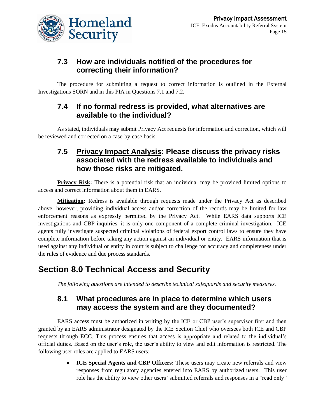

#### **7.3 How are individuals notified of the procedures for correcting their information?**

The procedure for submitting a request to correct information is outlined in the External Investigations SORN and in this PIA in Questions 7.1 and 7.2.

#### **7.4 If no formal redress is provided, what alternatives are available to the individual?**

As stated, individuals may submit Privacy Act requests for information and correction, which will be reviewed and corrected on a case-by-case basis.

#### **7.5 Privacy Impact Analysis: Please discuss the privacy risks associated with the redress available to individuals and how those risks are mitigated.**

**Privacy Risk:** There is a potential risk that an individual may be provided limited options to access and correct information about them in EARS.

**Mitigation:** Redress is available through requests made under the Privacy Act as described above; however, providing individual access and/or correction of the records may be limited for law enforcement reasons as expressly permitted by the Privacy Act. While EARS data supports ICE investigations and CBP inquiries, it is only one component of a complete criminal investigation. ICE agents fully investigate suspected criminal violations of federal export control laws to ensure they have complete information before taking any action against an individual or entity. EARS information that is used against any individual or entity in court is subject to challenge for accuracy and completeness under the rules of evidence and due process standards.

## **Section 8.0 Technical Access and Security**

*The following questions are intended to describe technical safeguards and security measures.*

#### **8.1 What procedures are in place to determine which users may access the system and are they documented?**

EARS access must be authorized in writing by the ICE or CBP user's supervisor first and then granted by an EARS administrator designated by the ICE Section Chief who oversees both ICE and CBP requests through ECC. This process ensures that access is appropriate and related to the individual's official duties. Based on the user's role, the user's ability to view and edit information is restricted. The following user roles are applied to EARS users:

> **ICE Special Agents and CBP Officers:** These users may create new referrals and view  $\bullet$ responses from regulatory agencies entered into EARS by authorized users. This user role has the ability to view other users' submitted referrals and responses in a "read only"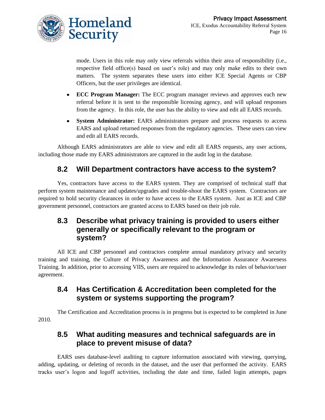

mode. Users in this role may only view referrals within their area of responsibility (i.e., respective field office(s) based on user's role) and may only make edits to their own matters. The system separates these users into either ICE Special Agents or CBP Officers, but the user privileges are identical.

- **ECC Program Manager:** The ECC program manager reviews and approves each new referral before it is sent to the responsible licensing agency, and will upload responses from the agency. In this role, the user has the ability to view and edit all EARS records.
- **System Administrator:** EARS administrators prepare and process requests to access  $\bullet$ EARS and upload returned responses from the regulatory agencies. These users can view and edit all EARS records.

Although EARS administrators are able to view and edit all EARS requests, any user actions, including those made my EARS administrators are captured in the audit log in the database.

#### **8.2 Will Department contractors have access to the system?**

Yes, contractors have access to the EARS system. They are comprised of technical staff that perform system maintenance and updates/upgrades and trouble-shoot the EARS system. Contractors are required to hold security clearances in order to have access to the EARS system. Just as ICE and CBP government personnel, contractors are granted access to EARS based on their job role.

#### **8.3 Describe what privacy training is provided to users either generally or specifically relevant to the program or system?**

All ICE and CBP personnel and contractors complete annual mandatory privacy and security training and training, the Culture of Privacy Awareness and the Information Assurance Awareness Training. In addition, prior to accessing VIIS, users are required to acknowledge its rules of behavior/user agreement.

#### **8.4 Has Certification & Accreditation been completed for the system or systems supporting the program?**

The Certification and Accreditation process is in progress but is expected to be completed in June 2010.

#### **8.5 What auditing measures and technical safeguards are in place to prevent misuse of data?**

EARS uses database-level auditing to capture information associated with viewing, querying, adding, updating, or deleting of records in the dataset, and the user that performed the activity. EARS tracks user's logon and logoff activities, including the date and time, failed login attempts, pages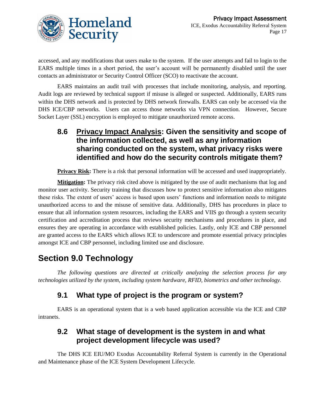

accessed, and any modifications that users make to the system. If the user attempts and fail to login to the EARS multiple times in a short period, the user's account will be permanently disabled until the user contacts an administrator or Security Control Officer (SCO) to reactivate the account.

EARS maintains an audit trail with processes that include monitoring, analysis, and reporting. Audit logs are reviewed by technical support if misuse is alleged or suspected. Additionally, EARS runs within the DHS network and is protected by DHS network firewalls. EARS can only be accessed via the DHS ICE/CBP networks. Users can access those networks via VPN connection. However, Secure Socket Layer (SSL) encryption is employed to mitigate unauthorized remote access.

**8.6 Privacy Impact Analysis: Given the sensitivity and scope of the information collected, as well as any information sharing conducted on the system, what privacy risks were identified and how do the security controls mitigate them?**

**Privacy Risk:** There is a risk that personal information will be accessed and used inappropriately.

**Mitigation:** The privacy risk cited above is mitigated by the use of audit mechanisms that log and monitor user activity. Security training that discusses how to protect sensitive information also mitigates these risks. The extent of users' access is based upon users' functions and information needs to mitigate unauthorized access to and the misuse of sensitive data. Additionally, DHS has procedures in place to ensure that all information system resources, including the EARS and VIIS go through a system security certification and accreditation process that reviews security mechanisms and procedures in place, and ensures they are operating in accordance with established policies. Lastly, only ICE and CBP personnel are granted access to the EARS which allows ICE to underscore and promote essential privacy principles amongst ICE and CBP personnel, including limited use and disclosure.

## **Section 9.0 Technology**

*The following questions are directed at critically analyzing the selection process for any technologies utilized by the system, including system hardware, RFID, biometrics and other technology.* 

#### **9.1 What type of project is the program or system?**

EARS is an operational system that is a web based application accessible via the ICE and CBP intranets.

#### **9.2 What stage of development is the system in and what project development lifecycle was used?**

The DHS ICE EIU/MO Exodus Accountability Referral System is currently in the Operational and Maintenance phase of the ICE System Development Lifecycle.